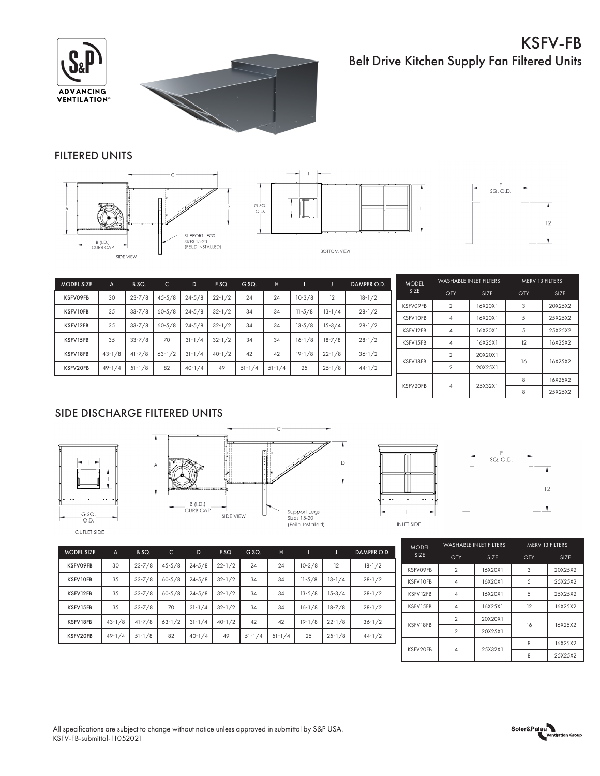## KSFV-FB Belt Drive Kitchen Supply Fan Filtered Units





## FILTERED UNITS







| <b>MODEL SIZE</b> | A          | B SQ.      | $\mathsf{C}$ | D          | F SQ.      | G SQ.      | н          |            | Æ          | DAMPER O.D. |
|-------------------|------------|------------|--------------|------------|------------|------------|------------|------------|------------|-------------|
| <b>KSFVO9FB</b>   | 30         | $23 - 7/8$ | $45 - 5/8$   | $24 - 5/8$ | $22 - 1/2$ | 24         | 24         | $10-3/8$   | 12         | $18 - 1/2$  |
| KSFV10FB          | 35         | $33 - 7/8$ | $60 - 5/8$   | $24 - 5/8$ | $32 - 1/2$ | 34         | 34         | $11 - 5/8$ | $13 - 1/4$ | $28 - 1/2$  |
| KSFV12FB          | 35         | $33 - 7/8$ | $60 - 5/8$   | $24 - 5/8$ | $32 - 1/2$ | 34         | 34         | $13 - 5/8$ | $15 - 3/4$ | $28 - 1/2$  |
| KSFV15FB          | 35         | $33 - 7/8$ | 70           | $31 - 1/4$ | $32 - 1/2$ | 34         | 34         | $16 - 1/8$ | $18 - 7/8$ | $28 - 1/2$  |
| KSFV18FB          | $43 - 1/8$ | $41 - 7/8$ | $63 - 1/2$   | $31 - 1/4$ | $40-1/2$   | 42         | 42         | $19 - 1/8$ | $22 - 1/8$ | $36 - 1/2$  |
| KSFV20FB          | $49 - 1/4$ | $51 - 1/8$ | 82           | $40-1/4$   | 49         | $51 - 1/4$ | $51 - 1/4$ | 25         | $25 - 1/8$ | $44 - 1/2$  |

| <b>MODEL</b>    | <b>WASHABLE INLET FILTERS</b> |         | MERV 13 FILTERS |         |  |
|-----------------|-------------------------------|---------|-----------------|---------|--|
| <b>SIZE</b>     | QTY                           | SIZE    | <b>QTY</b>      | SIZE    |  |
| <b>KSFVO9FB</b> | $\overline{2}$                | 16X20X1 | 3               | 20X25X2 |  |
| KSFV10FB        | 4                             | 16X20X1 | 5               | 25X25X2 |  |
| KSFV12FB        | 4                             | 16X20X1 | 5               | 25X25X2 |  |
| KSFV15FB        | $\overline{4}$                | 16X25X1 | 12              | 16X25X2 |  |
| KSFV18FB        | $\mathfrak{p}$                | 20X20X1 | 16              | 16X25X2 |  |
|                 | $\mathfrak{p}$                | 20X25X1 |                 |         |  |
| KSFV20FB        | ⊿                             | 25X32X1 | 8               | 16X25X2 |  |
|                 |                               |         | 8               | 25X25X2 |  |

## SIDE DISCHARGE FILTERED UNITS









MODEL SIZE A B SQ. C D F SQ. G SQ. H I J DAMPER O.D. KSFV09FB 30 23-7/8 45-5/8 24-5/8 22-1/2 24 24 10-3/8 12 18-1/2 KSFV10FB 35 33-7/8 60-5/8 24-5/8 32-1/2 34 34 11-5/8 13-1/4 28-1/2 KSFV12FB 35 33-7/8 60-5/8 24-5/8 32-1/2 34 34 13-5/8 15-3/4 28-1/2 KSFV15FB | 35 | 33-7/8 | 70 | 31-1/4 | 32-1/2 | 34 | 34 | 16-1/8 | 18-7/8 | 28-1/2 KSFV18FB 43-1/8 41-7/8 63-1/2 31-1/4 40-1/2 42 42 19-1/8 22-1/8 36-1/2 KSFV20FB 49-1/4 51-1/8 82 40-1/4 49 51-1/4 51-1/4 25 25-1/8 44-1/2

|  | <b>MODEL</b>    |                          | <b>WASHABLE INLET FILTERS</b> | MERV 13 FILTERS |             |  |
|--|-----------------|--------------------------|-------------------------------|-----------------|-------------|--|
|  | <b>SIZE</b>     | QTY                      | <b>SIZE</b>                   | <b>QTY</b>      | <b>SIZE</b> |  |
|  | <b>KSFVO9FB</b> | $\mathfrak{p}$           | 16X20X1                       | 3               | 20X25X2     |  |
|  | KSFV10FB        | 4                        | 16X20X1                       | .5              | 25X25X2     |  |
|  | KSFV12FB        | 4                        | 16X20X1                       | 5               | 25X25X2     |  |
|  | KSFV15FB        | 4                        | 16X25X1                       | 12              | 16X25X2     |  |
|  | KSFV18FB        | $\mathfrak{p}$           | 20X20X1                       | 16              | 16X25X2     |  |
|  |                 | $\overline{\phantom{a}}$ | 20X25X1                       |                 |             |  |
|  | KSFV20FB        |                          | 25X32X1                       | 8               | 16X25X2     |  |
|  |                 | 4                        |                               | ጸ               | 25X25X2     |  |